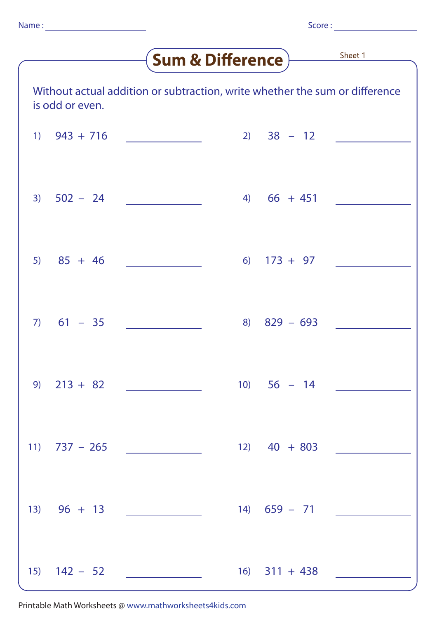## <u>Sheet 1</u>

| <u>aani a Riifipias</u>                                                                        |              |                  |     |               |                   |  |  |  |
|------------------------------------------------------------------------------------------------|--------------|------------------|-----|---------------|-------------------|--|--|--|
| Without actual addition or subtraction, write whether the sum or difference<br>is odd or even. |              |                  |     |               |                   |  |  |  |
| 1)                                                                                             | $943 + 716$  |                  | 2)  | $38 - 12$     |                   |  |  |  |
| 3)                                                                                             | $502 - 24$   |                  |     | $4) 66 + 451$ |                   |  |  |  |
| 5)                                                                                             | $85 + 46$    |                  |     | $6)$ 173 + 97 |                   |  |  |  |
|                                                                                                | $7) 61 - 35$ |                  | 8)  | $829 - 693$   |                   |  |  |  |
| 9)                                                                                             | $213 + 82$   |                  | 10) | $56 - 14$     |                   |  |  |  |
|                                                                                                |              | 11) $737 - 265$  |     |               | $12)$ 40 + 803    |  |  |  |
|                                                                                                |              | $13) 96 + 13$    |     |               | $14)$ 659 - 71    |  |  |  |
|                                                                                                |              | $15)$ $142 - 52$ |     |               | $16)$ $311 + 438$ |  |  |  |

Printable Math Worksheets @ www.mathworksheets4kids.com